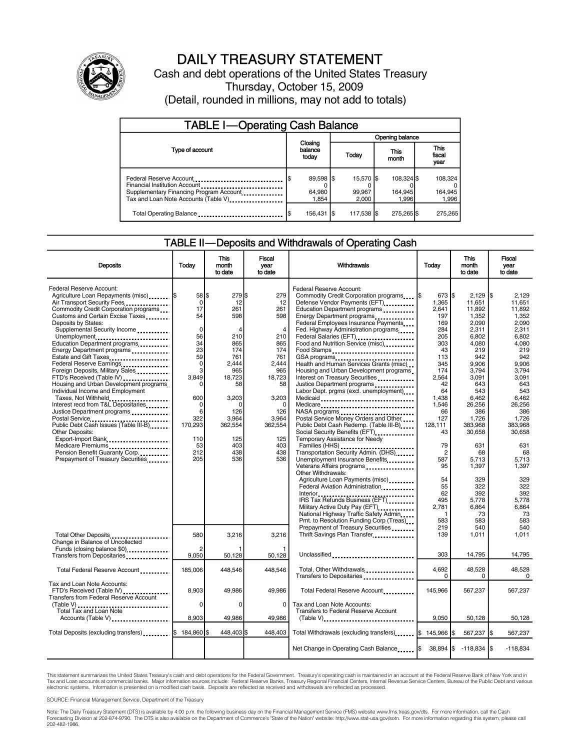

## DAILY TREASURY STATEMENT

Cash and debt operations of the United States Treasury Thursday, October 15, 2009 (Detail, rounded in millions, may not add to totals)

| <b>TABLE I-Operating Cash Balance</b>                                                                                                       |                              |                              |                                |                               |  |  |  |
|---------------------------------------------------------------------------------------------------------------------------------------------|------------------------------|------------------------------|--------------------------------|-------------------------------|--|--|--|
|                                                                                                                                             | Opening balance              |                              |                                |                               |  |  |  |
| Type of account                                                                                                                             | Closing<br>balance<br>today  | <b>Today</b>                 | This<br>month                  | <b>This</b><br>fiscal<br>year |  |  |  |
| Federal Reserve Account<br>Financial Institution Account<br>Supplementary Financing Program Account<br>Tax and Loan Note Accounts (Table V) | 89,598 \$<br>64,980<br>1.854 | 15,570 \$<br>99.967<br>2.000 | 108.324 \$<br>164.945<br>1.996 | 108,324<br>164,945<br>1,996   |  |  |  |
| Total Operating Balance                                                                                                                     | 156,431                      | 117,538 \$                   | 275,265 \$                     | 275,265                       |  |  |  |

### TABLE II—Deposits and Withdrawals of Operating Cash

| <b>Deposits</b>                                                                                                                                                                                                                                                                                                                                                                                                                                                                                                                                                                                                                                                                                                                                                                                                       | Today                                                                                                                                                               | <b>This</b><br>month<br>to date                                                                                                                                     | <b>Fiscal</b><br>vear<br>to date                                                                                                                                                  | Withdrawals                                                                                                                                                                                                                                                                                                                                                                                                                                                                                                                                                                                                                                                                                                                                                                                                                                                                                                                                                                                                                                                                                                                                          | Today                                                                                                                                                                                                                                                       | <b>This</b><br>month<br>to date                                                                                                                                                                                                                                          | Fiscal<br>vear<br>to date                                                                                                                                                                                                                                                       |
|-----------------------------------------------------------------------------------------------------------------------------------------------------------------------------------------------------------------------------------------------------------------------------------------------------------------------------------------------------------------------------------------------------------------------------------------------------------------------------------------------------------------------------------------------------------------------------------------------------------------------------------------------------------------------------------------------------------------------------------------------------------------------------------------------------------------------|---------------------------------------------------------------------------------------------------------------------------------------------------------------------|---------------------------------------------------------------------------------------------------------------------------------------------------------------------|-----------------------------------------------------------------------------------------------------------------------------------------------------------------------------------|------------------------------------------------------------------------------------------------------------------------------------------------------------------------------------------------------------------------------------------------------------------------------------------------------------------------------------------------------------------------------------------------------------------------------------------------------------------------------------------------------------------------------------------------------------------------------------------------------------------------------------------------------------------------------------------------------------------------------------------------------------------------------------------------------------------------------------------------------------------------------------------------------------------------------------------------------------------------------------------------------------------------------------------------------------------------------------------------------------------------------------------------------|-------------------------------------------------------------------------------------------------------------------------------------------------------------------------------------------------------------------------------------------------------------|--------------------------------------------------------------------------------------------------------------------------------------------------------------------------------------------------------------------------------------------------------------------------|---------------------------------------------------------------------------------------------------------------------------------------------------------------------------------------------------------------------------------------------------------------------------------|
| Federal Reserve Account:<br>Agriculture Loan Repayments (misc)  \$<br>Air Transport Security Fees<br>Commodity Credit Corporation programs<br>Customs and Certain Excise Taxes<br>Deposits by States:<br>Supplemental Security Income<br>Unemployment<br>Education Department programs<br>Energy Department programs<br>Estate and Gift Taxes<br>Federal Reserve Earnings<br>Foreign Deposits, Military Sales<br>FTD's Received (Table IV)<br>Housing and Urban Development programs<br>Individual Income and Employment<br>Taxes, Not Withheld<br>Interest recd from T&L Depositaries<br>Justice Department programs<br>Postal Service<br>Public Debt Cash Issues (Table III-B)<br>Other Deposits:<br>Export-Import Bank<br>Medicare Premiums<br>Pension Benefit Guaranty Corp.<br>Prepayment of Treasury Securities | 58 \$<br>$\Omega$<br>17<br>54<br>$\Omega$<br>56<br>34<br>23<br>59<br>$\mathbf 0$<br>3<br>3,849<br>600<br>$\Omega$<br>6<br>322<br>170,293<br>110<br>53<br>212<br>205 | $279$ $$$<br>12<br>261<br>598<br>4<br>210<br>865<br>174<br>761<br>2.444<br>965<br>18.723<br>58<br>3,203<br>n<br>126<br>3,964<br>362,554<br>125<br>403<br>438<br>536 | 279<br>12<br>261<br>598<br>$\overline{4}$<br>210<br>865<br>174<br>761<br>2.444<br>965<br>18,723<br>58<br>3,203<br>$\Omega$<br>126<br>3,964<br>362,554<br>125<br>403<br>438<br>536 | Federal Reserve Account:<br>Commodity Credit Corporation programs<br>Defense Vendor Payments (EFT)<br>Education Department programs<br>Energy Department programs<br>Federal Employees Insurance Payments<br>Fed. Highway Administration programs<br>Federal Salaries (EFT)<br>Food and Nutrition Service (misc)<br>Food Stamps<br>GSA programs<br>Health and Human Services Grants (misc)<br>Housing and Urban Development programs<br>Interest on Treasury Securities<br>Justice Department programs<br>Labor Dept. prgms (excl. unemployment)<br>Medicaid<br>Medicare<br>NASA programs<br>Postal Service Money Orders and Other<br>Public Debt Cash Redemp. (Table III-B)<br>Social Security Benefits (EFT)<br>Temporary Assistance for Needy<br>Families (HHS)<br>Transportation Security Admin. (DHS)<br>Unemployment Insurance Benefits<br>Veterans Affairs programs<br><br>Other Withdrawals:<br>Agriculture Loan Payments (misc)<br>Federal Aviation Administration<br>Interior<br>.<br>IRS Tax Refunds Business (EFT)<br>Military Active Duty Pay (EFT)<br>National Highway Traffic Safety Admin<br>Pmt. to Resolution Funding Corp (Treas) | $673 $ \$<br>1,365<br>2,641<br>197<br>169<br>284<br>205<br>303<br>43<br>113<br>345<br>174<br>2,564<br>42<br>64<br>1.438<br>1,546<br>66<br>127<br>128,111<br>43<br>79<br>$\overline{c}$<br>587<br>95<br>54<br>55<br>62<br>495<br>2,781<br>$\mathbf 1$<br>583 | 2,129<br>11.651<br>11.892<br>1,352<br>2,090<br>2.311<br>6,802<br>4,080<br>219<br>942<br>9,906<br>3,794<br>3,091<br>643<br>543<br>6,462<br>26,256<br>386<br>1,726<br>383,968<br>30,658<br>631<br>68<br>5,713<br>1,397<br>329<br>322<br>392<br>5,778<br>6,864<br>73<br>583 | l\$<br>2,129<br>11.651<br>11.892<br>1.352<br>2,090<br>2.311<br>6,802<br>4,080<br>219<br>942<br>9,906<br>3.794<br>3,091<br>643<br>543<br>6,462<br>26,256<br>386<br>1,726<br>383,968<br>30,658<br>631<br>68<br>5.713<br>1,397<br>329<br>322<br>392<br>5.778<br>6,864<br>73<br>583 |
| Total Other Deposits<br>Change in Balance of Uncollected<br>Funds (closing balance \$0)                                                                                                                                                                                                                                                                                                                                                                                                                                                                                                                                                                                                                                                                                                                               | 580<br>9.050                                                                                                                                                        | 3,216<br>50,128                                                                                                                                                     | 3,216<br>50,128                                                                                                                                                                   | Prepayment of Treasury Securities<br>Thrift Savings Plan Transfer<br>Unclassified                                                                                                                                                                                                                                                                                                                                                                                                                                                                                                                                                                                                                                                                                                                                                                                                                                                                                                                                                                                                                                                                    | 219<br>139<br>303                                                                                                                                                                                                                                           | 540<br>1,011<br>14,795                                                                                                                                                                                                                                                   | 540<br>1.011<br>14,795                                                                                                                                                                                                                                                          |
| Transfers from Depositaries<br>Total Federal Reserve Account                                                                                                                                                                                                                                                                                                                                                                                                                                                                                                                                                                                                                                                                                                                                                          | 185,006                                                                                                                                                             | 448,546                                                                                                                                                             | 448.546                                                                                                                                                                           | Total, Other Withdrawals                                                                                                                                                                                                                                                                                                                                                                                                                                                                                                                                                                                                                                                                                                                                                                                                                                                                                                                                                                                                                                                                                                                             | 4.692                                                                                                                                                                                                                                                       | 48,528                                                                                                                                                                                                                                                                   | 48.528                                                                                                                                                                                                                                                                          |
| Tax and Loan Note Accounts:<br>FTD's Received (Table IV)<br><b>Transfers from Federal Reserve Account</b><br>(Table V)<br>Total Tax and Loan Note                                                                                                                                                                                                                                                                                                                                                                                                                                                                                                                                                                                                                                                                     | 8.903<br>$\mathbf 0$                                                                                                                                                | 49.986<br>$\mathbf 0$                                                                                                                                               | 49.986<br>$\Omega$                                                                                                                                                                | Transfers to Depositaries<br>Total Federal Reserve Account<br>Tax and Loan Note Accounts:<br>Transfers to Federal Reserve Account                                                                                                                                                                                                                                                                                                                                                                                                                                                                                                                                                                                                                                                                                                                                                                                                                                                                                                                                                                                                                    | $\Omega$<br>145.966                                                                                                                                                                                                                                         | 0<br>567.237                                                                                                                                                                                                                                                             | $\Omega$<br>567.237                                                                                                                                                                                                                                                             |
| Accounts (Table V)<br>Total Deposits (excluding transfers)  \$                                                                                                                                                                                                                                                                                                                                                                                                                                                                                                                                                                                                                                                                                                                                                        | 8.903<br>184.860 S                                                                                                                                                  | 49,986<br>448.403 \$                                                                                                                                                | 49.986<br>448.403                                                                                                                                                                 | $(Table V)$<br>Total Withdrawals (excluding transfers)  \$ 145,966  \$                                                                                                                                                                                                                                                                                                                                                                                                                                                                                                                                                                                                                                                                                                                                                                                                                                                                                                                                                                                                                                                                               | 9.050                                                                                                                                                                                                                                                       | 50,128<br>567,237 \$                                                                                                                                                                                                                                                     | 50,128<br>567,237                                                                                                                                                                                                                                                               |
|                                                                                                                                                                                                                                                                                                                                                                                                                                                                                                                                                                                                                                                                                                                                                                                                                       |                                                                                                                                                                     |                                                                                                                                                                     |                                                                                                                                                                                   | Net Change in Operating Cash Balance  \$                                                                                                                                                                                                                                                                                                                                                                                                                                                                                                                                                                                                                                                                                                                                                                                                                                                                                                                                                                                                                                                                                                             |                                                                                                                                                                                                                                                             | 38,894 \$ -118,834 \$                                                                                                                                                                                                                                                    | $-118,834$                                                                                                                                                                                                                                                                      |

This statement summarizes the United States Treasury's cash and debt operations for the Federal Government. Treasury's operating cash is maintained in an account at the Federal Reserve Bank of New York and in Tax and Loan accounts at commercial banks. Major information sources include: Federal Reserve Banks, Treasury Regional Financial Centers, Internal Revenue Service Centers, Bureau of the Public Debt and various<br>electronic s

SOURCE: Financial Management Service, Department of the Treasury

Note: The Daily Treasury Statement (DTS) is available by 4:00 p.m. the following business day on the Financial Management Service (FMS) website www.fms.treas.gov/dts. For more information, call the Cash<br>Forecasting Divisio 202-482-1986.